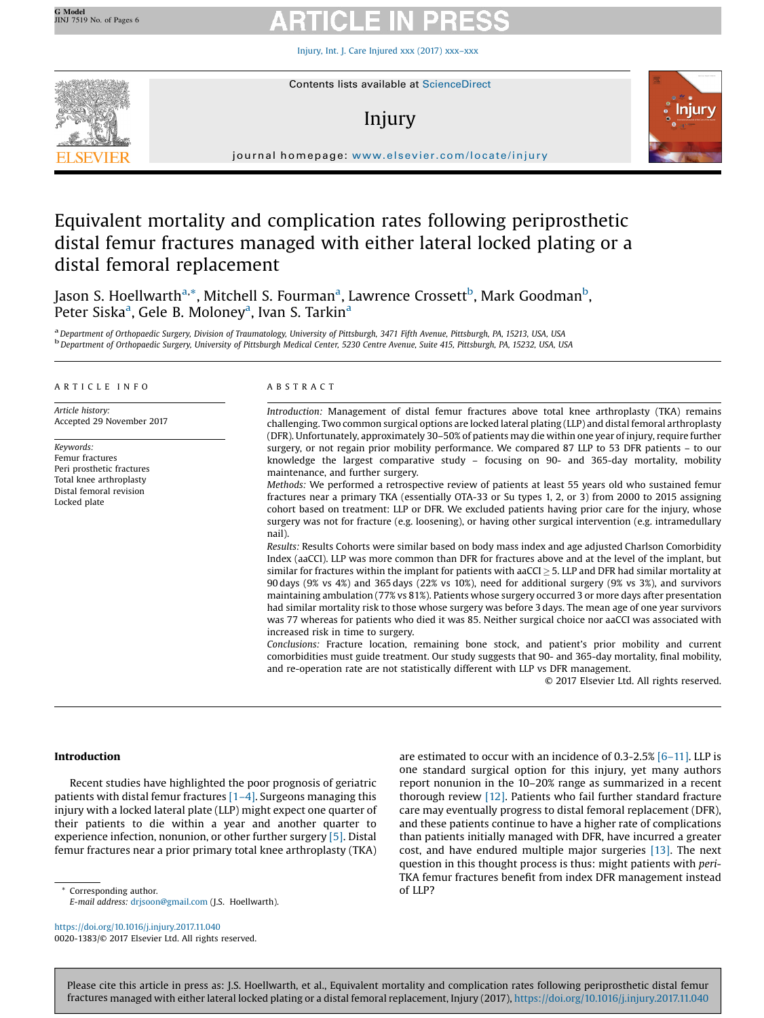Injury, Int. J. Care [Injured](https://doi.org/10.1016/j.injury.2017.11.040) xxx (2017) xxx–xxx



# Injury



journal homepage: <www.elsevier.com/locate/injury>/ $\mathcal{N}$ 

## Equivalent mortality and complication rates following periprosthetic distal femur fractures managed with either lateral locked plating or a distal femoral replacement

Jason S. Hoellwarth<sup>a,\*</sup>, Mitchell S. Fourman<sup>a</sup>, Lawrence Crossett<sup>b</sup>, Mark Goodman<sup>b</sup>, .<br>Peter Siska<sup>a</sup>, Gele B. Moloney<sup>a</sup>, Ivan S. Tarkin<sup>a</sup>

a Department of Orthopaedic Surgery, Division of Traumatology, University of Pittsburgh, 3471 Fifth Avenue, Pittsburgh, PA, 15213, USA, USA b.<br>b Department of Orthopaedic Surgery, University of Pittsburgh Medical Center, 5

### A R T I C L E I N F O

Article history: Accepted 29 November 2017

Keywords: Femur fractures Peri prosthetic fractures Total knee arthroplasty Distal femoral revision Locked plate

### A B S T R A C T

Introduction: Management of distal femur fractures above total knee arthroplasty (TKA) remains challenging. Two common surgical options are locked lateral plating (LLP) and distal femoral arthroplasty (DFR). Unfortunately, approximately 30–50% of patients may die within one year of injury, require further surgery, or not regain prior mobility performance. We compared 87 LLP to 53 DFR patients – to our knowledge the largest comparative study – focusing on 90- and 365-day mortality, mobility maintenance, and further surgery.

Methods: We performed a retrospective review of patients at least 55 years old who sustained femur fractures near a primary TKA (essentially OTA-33 or Su types 1, 2, or 3) from 2000 to 2015 assigning cohort based on treatment: LLP or DFR. We excluded patients having prior care for the injury, whose surgery was not for fracture (e.g. loosening), or having other surgical intervention (e.g. intramedullary nail).

Results: Results Cohorts were similar based on body mass index and age adjusted Charlson Comorbidity Index (aaCCI). LLP was more common than DFR for fractures above and at the level of the implant, but similar for fractures within the implant for patients with aaCCI  $\geq$  5. LLP and DFR had similar mortality at 90 days (9% vs 4%) and 365 days (22% vs 10%), need for additional surgery (9% vs 3%), and survivors maintaining ambulation (77% vs 81%). Patients whose surgery occurred 3 or more days after presentation had similar mortality risk to those whose surgery was before 3 days. The mean age of one year survivors was 77 whereas for patients who died it was 85. Neither surgical choice nor aaCCI was associated with increased risk in time to surgery.

Conclusions: Fracture location, remaining bone stock, and patient's prior mobility and current comorbidities must guide treatment. Our study suggests that 90- and 365-day mortality, final mobility, and re-operation rate are not statistically different with LLP vs DFR management.

© 2017 Elsevier Ltd. All rights reserved.

### Introduction

Recent studies have highlighted the poor prognosis of geriatric patients with distal femur fractures [1–4]. Surgeons managing this injury with a locked lateral plate (LLP) might expect one quarter of their patients to die within a year and another quarter to experience infection, nonunion, or other further surgery [5]. Distal femur fractures near a prior primary total knee arthroplasty (TKA)

Corresponding author.  $\qquad \qquad$  Of LLP? E-mail address: [drjsoon@gmail.com](mailto:drjsoon@gmail.com) (J.S. Hoellwarth).

<https://doi.org/10.1016/j.injury.2017.11.040> 0020-1383/© 2017 Elsevier Ltd. All rights reserved. are estimated to occur with an incidence of 0.3-2.5% [6–11]. LLP is one standard surgical option for this injury, yet many authors report nonunion in the 10–20% range as summarized in a recent thorough review [12]. Patients who fail further standard fracture care may eventually progress to distal femoral replacement (DFR), and these patients continue to have a higher rate of complications than patients initially managed with DFR, have incurred a greater cost, and have endured multiple major surgeries [13]. The next question in this thought process is thus: might patients with peri-TKA femur fractures benefit from index DFR management instead

Please cite this article in press as: J.S. Hoellwarth, et al., Equivalent mortality and complication rates following periprosthetic distal femur fractures managed with either lateral locked plating or a distal femoral replacement, Injury (2017), <https://doi.org/10.1016/j.injury.2017.11.040>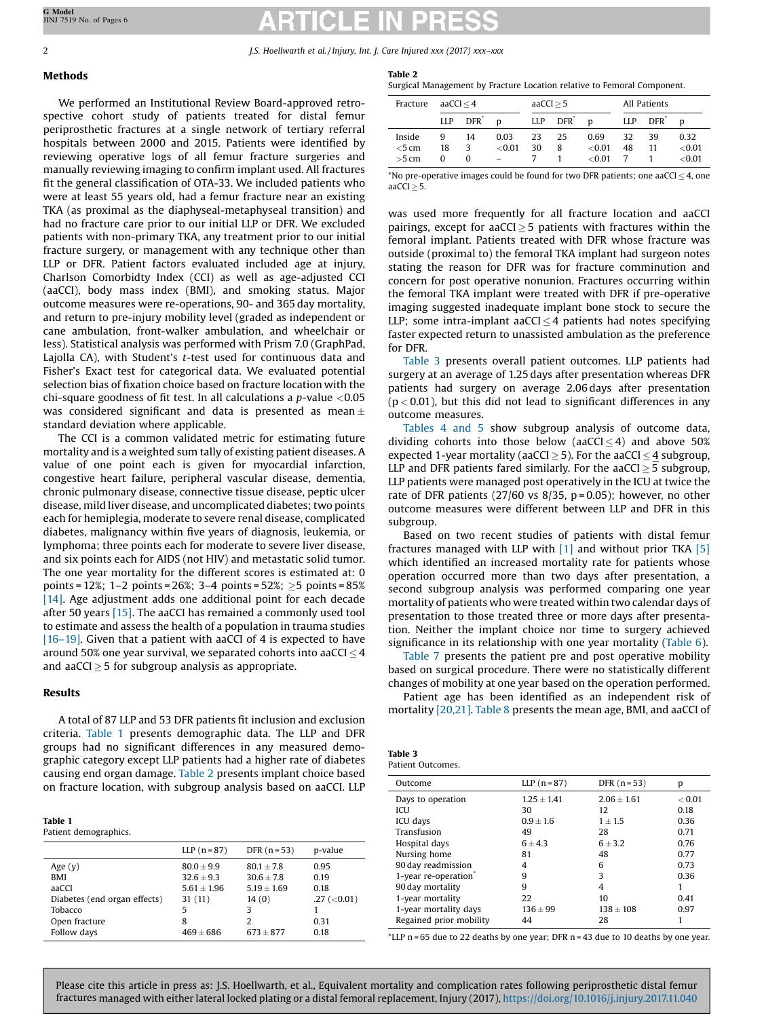2 J.S. Hoellwarth et al. / Injury, Int. J. Care Injured xxx (2017) xxx–xxx

### Methods

### We performed an Institutional Review Board-approved retrospective cohort study of patients treated for distal femur periprosthetic fractures at a single network of tertiary referral hospitals between 2000 and 2015. Patients were identified by reviewing operative logs of all femur fracture surgeries and manually reviewing imaging to confirm implant used. All fractures fit the general classification of OTA-33. We included patients who were at least 55 years old, had a femur fracture near an existing TKA (as proximal as the diaphyseal-metaphyseal transition) and had no fracture care prior to our initial LLP or DFR. We excluded patients with non-primary TKA, any treatment prior to our initial fracture surgery, or management with any technique other than LLP or DFR. Patient factors evaluated included age at injury, Charlson Comorbidty Index (CCI) as well as age-adjusted CCI (aaCCI), body mass index (BMI), and smoking status. Major outcome measures were re-operations, 90- and 365 day mortality, and return to pre-injury mobility level (graded as independent or cane ambulation, front-walker ambulation, and wheelchair or less). Statistical analysis was performed with Prism 7.0 (GraphPad, Lajolla CA), with Student's t-test used for continuous data and Fisher's Exact test for categorical data. We evaluated potential selection bias of fixation choice based on fracture location with the chi-square goodness of fit test. In all calculations a  $p$ -value <0.05 was considered significant and data is presented as mean $\pm$ standard deviation where applicable.

The CCI is a common validated metric for estimating future mortality and is a weighted sum tally of existing patient diseases. A value of one point each is given for myocardial infarction, congestive heart failure, peripheral vascular disease, dementia, chronic pulmonary disease, connective tissue disease, peptic ulcer disease, mild liver disease, and uncomplicated diabetes; two points each for hemiplegia, moderate to severe renal disease, complicated diabetes, malignancy within five years of diagnosis, leukemia, or lymphoma; three points each for moderate to severe liver disease, and six points each for AIDS (not HIV) and metastatic solid tumor. The one year mortality for the different scores is estimated at: 0 points = 12%; 1–2 points = 26%; 3–4 points = 52%;  $\geq$ 5 points = 85% [14]. Age adjustment adds one additional point for each decade after 50 years [15]. The aaCCI has remained a commonly used tool to estimate and assess the health of a population in trauma studies [16–19]. Given that a patient with aaCCI of 4 is expected to have around 50% one year survival, we separated cohorts into aaCCI  $\leq$  4 and aaCCI  $>$  5 for subgroup analysis as appropriate.

### Results

A total of 87 LLP and 53 DFR patients fit inclusion and exclusion criteria. Table 1 presents demographic data. The LLP and DFR groups had no significant differences in any measured demographic category except LLP patients had a higher rate of diabetes causing end organ damage. Table 2 presents implant choice based on fracture location, with subgroup analysis based on aaCCI. LLP

### Table 1

Patient demographics.

|                              | LLP $(n=87)$  | DFR $(n=53)$  | p-value           |
|------------------------------|---------------|---------------|-------------------|
| Age $(y)$                    | $80.0 + 9.9$  | $80.1 + 7.8$  | 0.95              |
| BMI                          | $32.6 + 9.3$  | $30.6 + 7.8$  | 0.19              |
| aaCCI                        | $5.61 + 1.96$ | $5.19 + 1.69$ | 0.18              |
| Diabetes (end organ effects) | 31(11)        | 14(0)         | $.27$ ( $<$ 0.01) |
| Tobacco                      | 5             | 3             |                   |
| Open fracture                | 8             | 2             | 0.31              |
| Follow days                  | $469 + 686$   | $673 + 877$   | 0.18              |

| ı<br>.,<br>. .<br>. .<br>× | ×<br>۰. |  |
|----------------------------|---------|--|
|                            |         |  |

Surgical Management by Fracture Location relative to Femoral Component.

| Fracture | aa $CCI < 4$ |                  | aACCI > 5 |     | All Patients |       |            |                  |           |
|----------|--------------|------------------|-----------|-----|--------------|-------|------------|------------------|-----------|
|          | LLP          | DFR <sup>*</sup> | D         | LLP | $DFR^*$      | D     | <b>LLP</b> | DFR <sup>*</sup> | D         |
| Inside   | 9            | 14               | 0.03      | 23  | 25           | 0.69  | 32         | 39               | 0.32      |
| $<$ 5 cm | 18           | κ                | ${<}0.01$ | 30  | 8            | <0.01 | 48         | 11               | ${<}0.01$ |
| $>5$ cm  | o            | 0                |           |     |              | <0.01 |            |                  | < 0.01    |

 $*$ No pre-operative images could be found for two DFR patients; one aaCCI  $<$  4, one  $aACCI > 5$ .

was used more frequently for all fracture location and aaCCI pairings, except for aaCCI $>$ 5 patients with fractures within the femoral implant. Patients treated with DFR whose fracture was outside (proximal to) the femoral TKA implant had surgeon notes stating the reason for DFR was for fracture comminution and concern for post operative nonunion. Fractures occurring within the femoral TKA implant were treated with DFR if pre-operative imaging suggested inadequate implant bone stock to secure the LLP; some intra-implant aaCCI $\leq$ 4 patients had notes specifying faster expected return to unassisted ambulation as the preference for DFR.

Table 3 presents overall patient outcomes. LLP patients had surgery at an average of 1.25 days after presentation whereas DFR patients had surgery on average 2.06 days after presentation  $(p < 0.01)$ , but this did not lead to significant differences in any outcome measures.

Tables 4 and 5 show subgroup analysis of outcome data, dividing cohorts into those below (aaCCI $\leq$ 4) and above 50% expected 1-year mortality (aaCCI  $\geq$  5). For the aaCCI  $\leq$  4 subgroup, LLP and DFR patients fared similarly. For the aaCCI  $>$  5 subgroup, LLP patients were managed post operatively in the ICU at twice the rate of DFR patients  $(27/60 \text{ vs } 8/35, p=0.05)$ ; however, no other outcome measures were different between LLP and DFR in this subgroup.

Based on two recent studies of patients with distal femur fractures managed with LLP with  $[1]$  and without prior TKA  $[5]$ which identified an increased mortality rate for patients whose operation occurred more than two days after presentation, a second subgroup analysis was performed comparing one year mortality of patients who were treated within two calendar days of presentation to those treated three or more days after presentation. Neither the implant choice nor time to surgery achieved significance in its relationship with one year mortality (Table 6).

Table 7 presents the patient pre and post operative mobility based on surgical procedure. There were no statistically different changes of mobility at one year based on the operation performed.

Patient age has been identified as an independent risk of mortality [20,21]. Table 8 presents the mean age, BMI, and aaCCI of

| Table 3          |
|------------------|
| Patient Outcomes |

| Outcome                          | LLP $(n=87)$    | DFR $(n=53)$  | р      |
|----------------------------------|-----------------|---------------|--------|
| Days to operation                | $1.25 \pm 1.41$ | $2.06 + 1.61$ | < 0.01 |
| ICU                              | 30              | 12            | 0.18   |
| ICU days                         | $0.9 + 1.6$     | $1 \pm 1.5$   | 0.36   |
| Transfusion                      | 49              | 28            | 0.71   |
| Hospital days                    | $6 + 4.3$       | $6 + 3.2$     | 0.76   |
| Nursing home                     | 81              | 48            | 0.77   |
| 90 day readmission               | 4               | 6             | 0.73   |
| 1-year re-operation <sup>®</sup> | 9               | 3             | 0.36   |
| 90 day mortality                 | 9               | 4             |        |
| 1-year mortality                 | 22              | 10            | 0.41   |
| 1-year mortality days            | $136 + 99$      | $138 + 108$   | 0.97   |
| Regained prior mobility          | 44              | 28            |        |

\*LLP n = 65 due to 22 deaths by one year: DFR n = 43 due to 10 deaths by one year.

Please cite this article in press as: J.S. Hoellwarth, et al., Equivalent mortality and complication rates following periprosthetic distal femur fractures managed with either lateral locked plating or a distal femoral replacement, Injury (2017), <https://doi.org/10.1016/j.injury.2017.11.040>